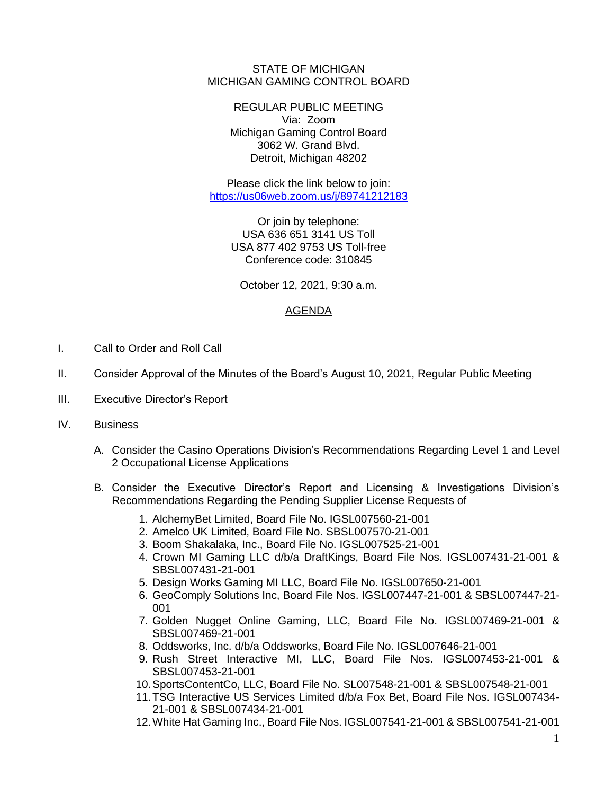STATE OF MICHIGAN MICHIGAN GAMING CONTROL BOARD

> REGULAR PUBLIC MEETING Via: Zoom Michigan Gaming Control Board 3062 W. Grand Blvd. Detroit, Michigan 48202

Please click the link below to join: <https://us06web.zoom.us/j/89741212183>

> Or join by telephone: USA 636 651 3141 US Toll USA 877 402 9753 US Toll-free Conference code: 310845

October 12, 2021, 9:30 a.m.

## AGENDA

- I. Call to Order and Roll Call
- II. Consider Approval of the Minutes of the Board's August 10, 2021, Regular Public Meeting
- III. Executive Director's Report
- IV. Business
	- A. Consider the Casino Operations Division's Recommendations Regarding Level 1 and Level 2 Occupational License Applications
	- B. Consider the Executive Director's Report and Licensing & Investigations Division's Recommendations Regarding the Pending Supplier License Requests of
		- 1. AlchemyBet Limited, Board File No. IGSL007560-21-001
		- 2. Amelco UK Limited, Board File No. SBSL007570-21-001
		- 3. Boom Shakalaka, Inc., Board File No. IGSL007525-21-001
		- 4. Crown MI Gaming LLC d/b/a DraftKings, Board File Nos. IGSL007431-21-001 & SBSL007431-21-001
		- 5. Design Works Gaming MI LLC, Board File No. IGSL007650-21-001
		- 6. GeoComply Solutions Inc, Board File Nos. IGSL007447-21-001 & SBSL007447-21- 001
		- 7. Golden Nugget Online Gaming, LLC, Board File No. IGSL007469-21-001 & SBSL007469-21-001
		- 8. Oddsworks, Inc. d/b/a Oddsworks, Board File No. IGSL007646-21-001
		- 9. Rush Street Interactive MI, LLC, Board File Nos. IGSL007453-21-001 & SBSL007453-21-001
		- 10.SportsContentCo, LLC, Board File No. SL007548-21-001 & SBSL007548-21-001
		- 11.TSG Interactive US Services Limited d/b/a Fox Bet, Board File Nos. IGSL007434- 21-001 & SBSL007434-21-001
		- 12.White Hat Gaming Inc., Board File Nos. IGSL007541-21-001 & SBSL007541-21-001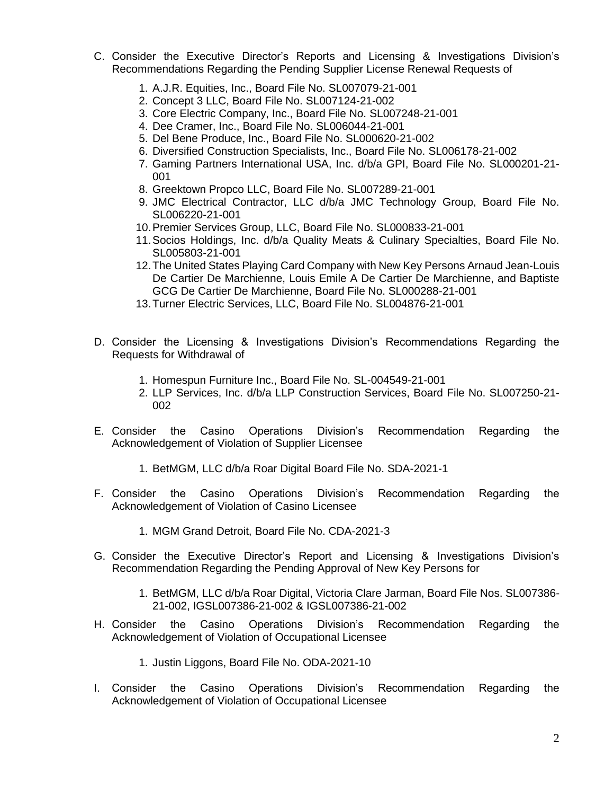- C. Consider the Executive Director's Reports and Licensing & Investigations Division's Recommendations Regarding the Pending Supplier License Renewal Requests of
	- 1. A.J.R. Equities, Inc., Board File No. SL007079-21-001
	- 2. Concept 3 LLC, Board File No. SL007124-21-002
	- 3. Core Electric Company, Inc., Board File No. SL007248-21-001
	- 4. Dee Cramer, Inc., Board File No. SL006044-21-001
	- 5. Del Bene Produce, Inc., Board File No. SL000620-21-002
	- 6. Diversified Construction Specialists, Inc., Board File No. SL006178-21-002
	- 7. Gaming Partners International USA, Inc. d/b/a GPI, Board File No. SL000201-21- 001
	- 8. Greektown Propco LLC, Board File No. SL007289-21-001
	- 9. JMC Electrical Contractor, LLC d/b/a JMC Technology Group, Board File No. SL006220-21-001
	- 10.Premier Services Group, LLC, Board File No. SL000833-21-001
	- 11.Socios Holdings, Inc. d/b/a Quality Meats & Culinary Specialties, Board File No. SL005803-21-001
	- 12.The United States Playing Card Company with New Key Persons Arnaud Jean-Louis De Cartier De Marchienne, Louis Emile A De Cartier De Marchienne, and Baptiste GCG De Cartier De Marchienne, Board File No. SL000288-21-001
	- 13.Turner Electric Services, LLC, Board File No. SL004876-21-001
- D. Consider the Licensing & Investigations Division's Recommendations Regarding the Requests for Withdrawal of
	- 1. Homespun Furniture Inc., Board File No. SL-004549-21-001
	- 2. LLP Services, Inc. d/b/a LLP Construction Services, Board File No. SL007250-21- 002
- E. Consider the Casino Operations Division's Recommendation Regarding the Acknowledgement of Violation of Supplier Licensee
	- 1. BetMGM, LLC d/b/a Roar Digital Board File No. SDA-2021-1
- F. Consider the Casino Operations Division's Recommendation Regarding the Acknowledgement of Violation of Casino Licensee
	- 1. MGM Grand Detroit, Board File No. CDA-2021-3
- G. Consider the Executive Director's Report and Licensing & Investigations Division's Recommendation Regarding the Pending Approval of New Key Persons for
	- 1. BetMGM, LLC d/b/a Roar Digital, Victoria Clare Jarman, Board File Nos. SL007386- 21-002, IGSL007386-21-002 & IGSL007386-21-002
- H. Consider the Casino Operations Division's Recommendation Regarding the Acknowledgement of Violation of Occupational Licensee
	- 1. Justin Liggons, Board File No. ODA-2021-10
- I. Consider the Casino Operations Division's Recommendation Regarding the Acknowledgement of Violation of Occupational Licensee